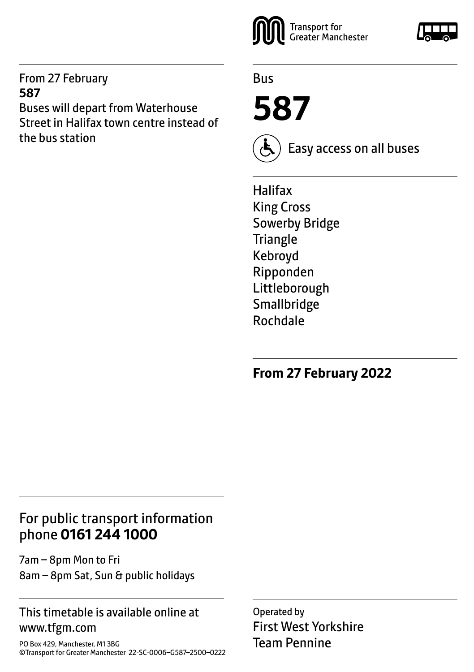From 27 February **587**

Buses will depart from Waterhouse Street in Halifax town centre instead of the bus station



Bus

**587**



Easy access on all buses

Halifax King Cross Sowerby Bridge **Triangle** Kebroyd Ripponden Littleborough **Smallbridge** Rochdale

**From 27 February 2022**

# For public transport information phone **0161 244 1000**

7am – 8pm Mon to Fri 8am – 8pm Sat, Sun & public holidays

### This timetable is available online at www.tfgm.com

PO Box 429, Manchester, M1 3BG ©Transport for Greater Manchester 22-SC-0006–G587–2500–0222 Operated by First West Yorkshire Team Pennine

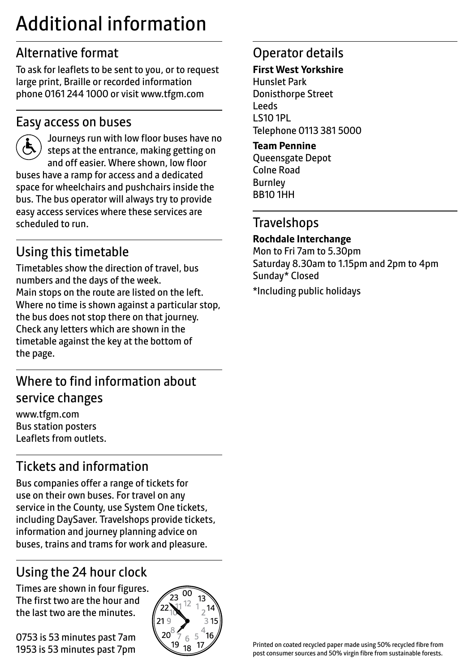# Additional information

# Alternative format

To ask for leaflets to be sent to you, or to request large print, Braille or recorded information phone 0161 244 1000 or visit www.tfgm.com

## Easy access on buses



 Journeys run with low floor buses have no steps at the entrance, making getting on and off easier. Where shown, low floor buses have a ramp for access and a dedicated space for wheelchairs and pushchairs inside the bus. The bus operator will always try to provide easy access services where these services are scheduled to run.

# Using this timetable

Timetables show the direction of travel, bus numbers and the days of the week. Main stops on the route are listed on the left. Where no time is shown against a particular stop, the bus does not stop there on that journey. Check any letters which are shown in the timetable against the key at the bottom of the page.

# Where to find information about service changes

www.tfgm.com Bus station posters Leaflets from outlets.

# Tickets and information

Bus companies offer a range of tickets for use on their own buses. For travel on any service in the County, use System One tickets, including DaySaver. Travelshops provide tickets, information and journey planning advice on buses, trains and trams for work and pleasure.

# Using the 24 hour clock

Times are shown in four figures. The first two are the hour and the last two are the minutes.

0753 is 53 minutes past 7am 1953 is 53 minutes past 7pm



# Operator details

#### **First West Yorkshire**

Hunslet Park Donisthorpe Street Leeds LS10 1PL Telephone 0113 381 5000

#### **Team Pennine**

Queensgate Depot Colne Road Burnley BB10 1HH

### **Travelshops**

#### **Rochdale Interchange**

Mon to Fri 7am to 5.30pm Saturday 8.30am to 1.15pm and 2pm to 4pm Sunday\* Closed

\*Including public holidays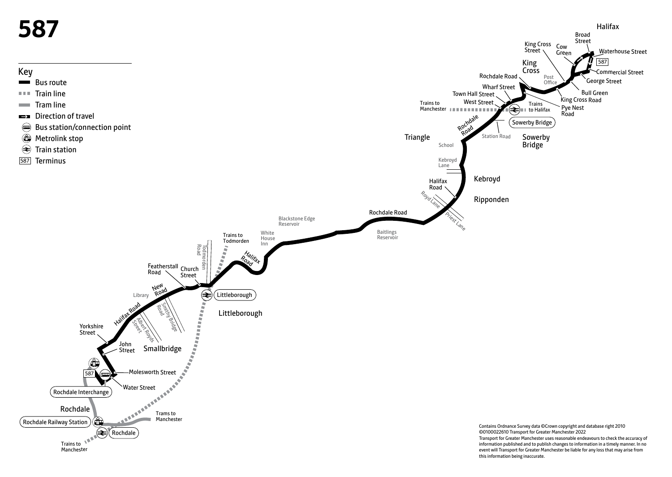

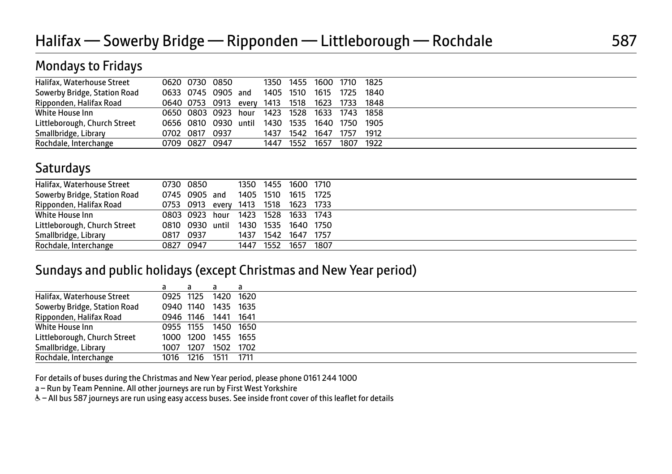## Mondays to Fridays

| Halifax, Waterhouse Street   |                     |                | 0620 0730 0850                 |           |           | 1350 1455 1600 1710 1825 |           |      |
|------------------------------|---------------------|----------------|--------------------------------|-----------|-----------|--------------------------|-----------|------|
|                              |                     |                |                                |           |           |                          |           |      |
| Sowerby Bridge, Station Road |                     |                | 0633 0745 0905 and             | 1405 1510 |           | 1615                     | 1725      | 1840 |
| Ripponden, Halifax Road      |                     |                | 0640 0753 0913 every 1413 1518 |           |           | 1623 1733 1848           |           |      |
| White House Inn              | 0650 0803 0923 hour |                |                                | 1423 1528 |           | 1633 1743 1858           |           |      |
| Littleborough, Church Street |                     |                | 0656 0810 0930 until           | 1430 1535 |           | 1640 1750                |           | 1905 |
| Smallbridge, Library         |                     | 0702 0817 0937 |                                |           | 1437 1542 | 1647                     | 1757      | 1912 |
| Rochdale, Interchange        |                     | 0709 0827 0947 |                                |           | 1447 1552 | 1657                     | 1807 1922 |      |

# **Saturdays**

| Halifax, Waterhouse Street   |               | 0730 0850       |      |           | 1350 1455 1600 1710                 |        |  |
|------------------------------|---------------|-----------------|------|-----------|-------------------------------------|--------|--|
| Sowerby Bridge, Station Road | 0745 0905 and |                 |      | 1405 1510 | 1615                                | - 1725 |  |
| Ripponden, Halifax Road      |               |                 |      |           | 0753 0913 every 1413 1518 1623 1733 |        |  |
| White House Inn              |               |                 |      |           | 0803 0923 hour 1423 1528 1633 1743  |        |  |
| Littleborough, Church Street |               | 0810 0930 until |      |           | 1430 1535 1640 1750                 |        |  |
| Smallbridge, Library         |               | 0817 0937       | 1437 | 1542      | 1647                                | 1757   |  |
| Rochdale, Interchange        |               | 0827 0947       |      | 1447 1552 | 1657                                | 1807   |  |
|                              |               |                 |      |           |                                     |        |  |

### Sundays and public holidays (except Christmas and New Year period)

|                              |      |           | a                   |  |
|------------------------------|------|-----------|---------------------|--|
| Halifax, Waterhouse Street   |      |           | 0925 1125 1420 1620 |  |
| Sowerby Bridge, Station Road |      |           | 0940 1140 1435 1635 |  |
| Ripponden, Halifax Road      |      |           | 0946 1146 1441 1641 |  |
| White House Inn              |      | 0955 1155 | 1450 1650           |  |
| Littleborough, Church Street |      |           | 1000 1200 1455 1655 |  |
| Smallbridge, Library         | 1007 | 1207      | 1502 1702           |  |
| Rochdale, Interchange        |      | 1016 1216 | 1511 1711           |  |

For details of buses during the Christmas and New Year period, please phone 0161 244 1000

a – Run by Team Pennine. All other journeys are run by First West Yorkshire

& - All bus 587 journeys are run using easy access buses. See inside front cover of this leaflet for details